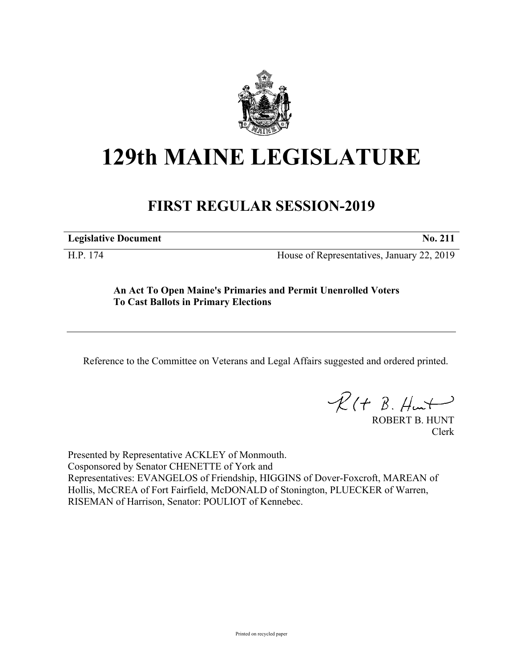

# **129th MAINE LEGISLATURE**

### **FIRST REGULAR SESSION-2019**

**Legislative Document No. 211**

H.P. 174 House of Representatives, January 22, 2019

#### **An Act To Open Maine's Primaries and Permit Unenrolled Voters To Cast Ballots in Primary Elections**

Reference to the Committee on Veterans and Legal Affairs suggested and ordered printed.

 $R(t B. Hmt)$ 

ROBERT B. HUNT Clerk

Presented by Representative ACKLEY of Monmouth. Cosponsored by Senator CHENETTE of York and Representatives: EVANGELOS of Friendship, HIGGINS of Dover-Foxcroft, MAREAN of Hollis, McCREA of Fort Fairfield, McDONALD of Stonington, PLUECKER of Warren, RISEMAN of Harrison, Senator: POULIOT of Kennebec.